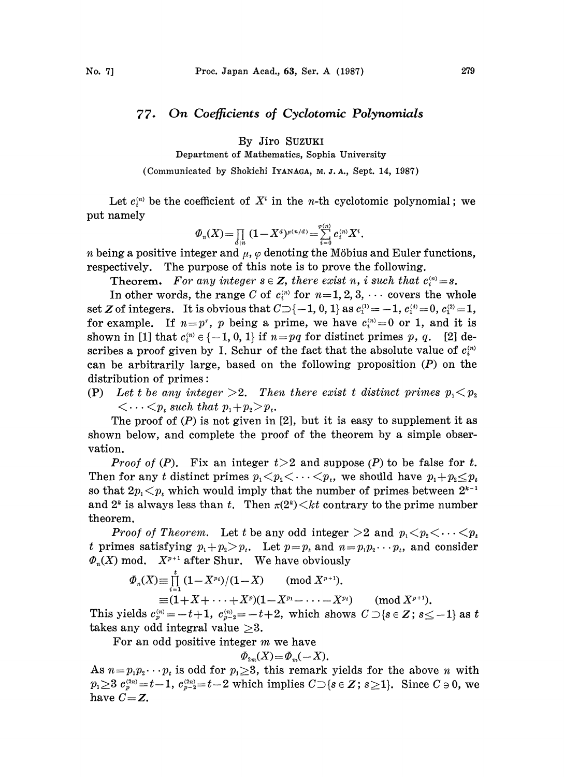## 77. On Coefficients of Cyclotomic Polynomials

By Jiro SuzuKI

Department of Mathematics, Sophia University

(Communicated by Shokichi IYANAGA, M. J. A., Sept. 14, 1987)

Let  $c_i^{(n)}$  be the coefficient of  $X^i$  in the *n*-th cyclotomic polynomial; we put namely

$$
\varPhi_n(X)\!=\!\textstyle\prod\limits_{d\mid n}\:(1\!-\!X^d)^{\mu(n/d)}\!=\!\sum\limits_{i=0}^{\varphi(n)}c_i^{(n)}X^i.
$$

*n* being a positive integer and  $\mu$ ,  $\varphi$  denoting the Möbius and Euler functions, respectively. The purpose of this note is to prove the following.

**Theorem.** For any integer  $s \in Z$ , there exist n, i such that  $c_i^{(n)} = s$ .

In other words, the range C of  $c_i^{(n)}$  for  $n=1, 2, 3, \cdots$  covers the whole set Z of integers. It is obvious that  $C \supset \{-1, 0, 1\}$  as  $c_1^{(1)} = -1$ ,  $c_1^{(4)} = 0$ ,  $c_1^{(2)} = 1$ , for example. If  $n=p^r$ , p being a prime, we have  $c_i^{(n)}=0$  or 1, and it is shown in [1] that  $c_i^{(n)} \in \{-1, 0, 1\}$  if  $n=pq$  for distinct primes p, q. [2] describes a proof given by I. Schur of the fact that the absolute value of  $c_i^{(n)}$ can be arbitrarily large, based on the following proposition  $(P)$  on the distribution of primes:

(P) Let t be any integer  $>2$ . Then there exist t distinct primes  $p_1 < p_2$  $\langle \dots \langle p_t \rangle$  such that  $p_1+p_2\geq p_t$ .

The proof of  $(P)$  is not given in [2], but it is easy to supplement it as shown below, and complete the proof of the theorem by a simple observation.

*Proof of (P).* Fix an integer  $t > 2$  and suppose (P) to be false for t. Then for any t distinct primes  $p_1 < p_2 < \cdots < p_t$ , we should have  $p_1 + p_2 \leq p_t$ theorem. and  $2^k$  is always less than t. Then  $\pi(2^k) < kt$  contrary to the prime number so that  $2p_1 \lt p_t$  which would imply that the number of primes between 2

**Proof of Theorem.** Let t be any odd integer  $\geq 2$  and  $p_1 \leq p_2 \leq \cdots \leq p_t$ t primes satisfying  $p_1+p_2>p_t$ . Let  $p=p_t$  and  $n=p_1p_2\cdots p_t$ , and consider t primes satisfying  $p_1 + p_2 > p_t$ . Let  $p = p_t$  and  $n =$ <br> $\Phi_n(X)$  mod.  $X^{p+1}$  after Shur. We have obviously

$$
\varPhi_n(X) \equiv \prod_{i=1}^r (1 - X^{p_i})/(1 - X) \pmod{X^{p+1}}.
$$
  
\n
$$
\equiv (1 + X + \cdots + X^p)(1 - X^{p_1} - \cdots - X^{p_t}) \pmod{X^{p+1}}.
$$

This yields  $c_p^{(n)} = -t+1$ ,  $c_{p-2}^{(n)} = -t+2$ , which shows  $C \supset \{s \in \mathbb{Z} : s \leq -1 \}$  as t takes any odd integral value  $\geq 3$ .

For an odd positive integer m we have

$$
\phi_{2m}(X) = \phi_m(-X).
$$

As  $n=p_1p_2\cdots p_t$  is odd for  $p_1\geq 3$ , this remark yields for the above n with  $p_1 \geq 3$   $c_1^{(2n)} = t-1$ ,  $c_{p-2}^{(2n)} = t-2$  which implies  $C \supset \{s \in \mathbb{Z} : s \geq 1\}$ . Since  $C \ni 0$ , we have  $C = Z$ .